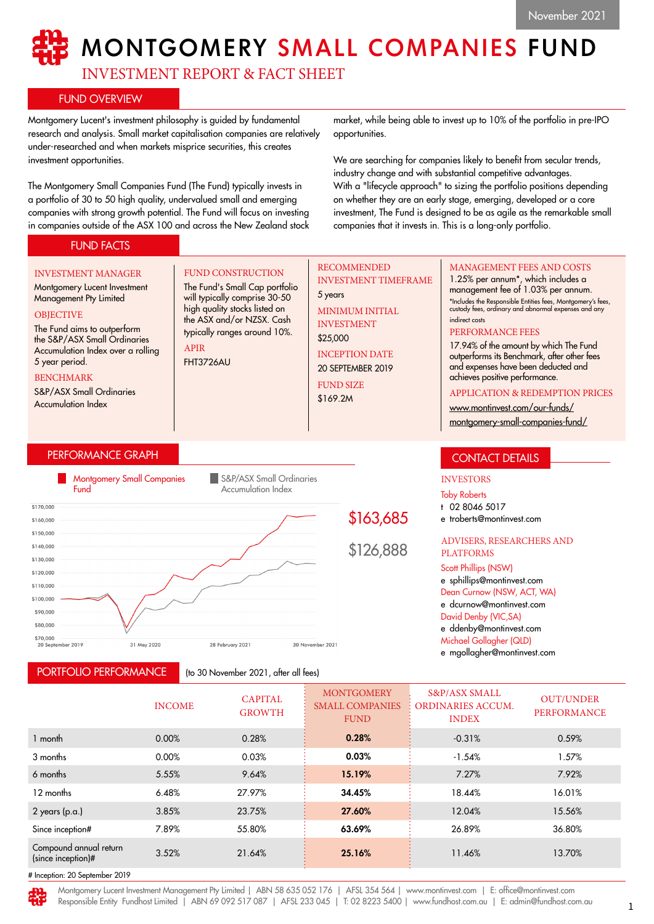# MONTGOMERY SMALL COMPANIES FUND

INVESTMENT REPORT & FACT SHEET

FUND CONSTRUCTION The Fund's Small Cap portfolio will typically comprise 30-50 high quality stocks listed on the ASX and/or NZSX. Cash typically ranges around 10%.

## FUND OVERVIEW

Montgomery Lucent's investment philosophy is guided by fundamental research and analysis. Small market capitalisation companies are relatively under-researched and when markets misprice securities, this creates investment opportunities.

The Montgomery Small Companies Fund (The Fund) typically invests in a portfolio of 30 to 50 high quality, undervalued small and emerging companies with strong growth potential. The Fund will focus on investing in companies outside of the ASX 100 and across the New Zealand stock

market, while being able to invest up to 10% of the portfolio in pre-IPO opportunities.

We are searching for companies likely to benefit from secular trends, industry change and with substantial competitive advantages. With a "lifecycle approach" to sizing the portfolio positions depending on whether they are an early stage, emerging, developed or a core investment, The Fund is designed to be as agile as the remarkable small companies that it invests in. This is a long-only portfolio.

## FUND FACTS

## INVESTMENT MANAGER

Montgomery Lucent Investment Management Pty Limited **OBJECTIVE** 

## The Fund aims to outperform the S&P/ASX Small Ordinaries Accumulation Index over a rolling

5 year period. BENCHMARK

S&P/ASX Small Ordinaries Accumulation Index

## PERFORMANCE GRAPH



APIR FHT3726AU

PORTFOLIO PERFORMANCE

(to 30 November 2021, after all fees)

## RECOMMENDED INVESTMENT TIMEFRAME

5 years MINIMUM INITIAL INVESTMENT

\$25,000 INCEPTION DATE 20 SEPTEMBER 2019

FUND SIZE

\$169.2M

## MANAGEMENT FEES AND COSTS

1.25% per annum\*, which includes a management fee of 1.03% per annum. \*Includes the Responsible Entities fees, Montgomery's fees, custody fees, ordinary and abnormal expenses and any indirect costs

#### PERFORMANCE FEES

17.94% of the amount by which The Fund outperforms its Benchmark, after other fees and expenses have been deducted and achieves positive performance.

#### APPLICATION & REDEMPTION PRICES

[www.montinvest.com/our-funds/](http://www.montinvest.com/our-funds/montgomery-small-companies-fund/)

[montgomery-small-companies-fund/](http://www.montinvest.com/our-funds/montgomery-small-companies-fund/)

## CONTACT DETAILS

#### INVESTORS

Toby Roberts

- t 02 8046 5017
- e troberts@montinvest.com

#### ADVISERS, RESEARCHERS AND PLATFORMS

#### Scott Phillips (NSW)

e sphillips@montinvest.com Dean Curnow (NSW, ACT, WA) e dcurnow@montinvest.com David Denby (VIC,SA) e ddenby@montinvest.com

Michael Gollagher (QLD)

e mgollagher@montinvest.com

|                                              | <b>INCOME</b> | <b>CAPITAL</b><br><b>GROWTH</b> | <b>MONTGOMERY</b><br><b>SMALL COMPANIES</b><br><b>FUND</b> | <b>S&amp;P/ASX SMALL</b><br><b>ORDINARIES ACCUM.</b><br><b>INDEX</b> | <b>OUT/UNDER</b><br><b>PERFORMANCE</b> |
|----------------------------------------------|---------------|---------------------------------|------------------------------------------------------------|----------------------------------------------------------------------|----------------------------------------|
| 1 month                                      | 0.00%         | 0.28%                           | 0.28%                                                      | $-0.31%$                                                             | 0.59%                                  |
| 3 months                                     | 0.00%         | 0.03%                           | 0.03%                                                      | $-1.54%$                                                             | 1.57%                                  |
| 6 months                                     | 5.55%         | 9.64%                           | 15.19%                                                     | 7.27%                                                                | 7.92%                                  |
| 12 months                                    | 6.48%         | 27.97%                          | 34.45%                                                     | 18.44%                                                               | 16.01%                                 |
| $2$ years (p.a.)                             | 3.85%         | 23.75%                          | 27.60%                                                     | 12.04%                                                               | 15.56%                                 |
| Since inception#                             | 7.89%         | 55.80%                          | 63.69%                                                     | 26.89%                                                               | 36.80%                                 |
| Compound annual return<br>(since inception)# | 3.52%         | 21.64%                          | 25.16%                                                     | 11.46%                                                               | 13.70%                                 |
| # Inception: 20 September 2019               |               |                                 |                                                            |                                                                      |                                        |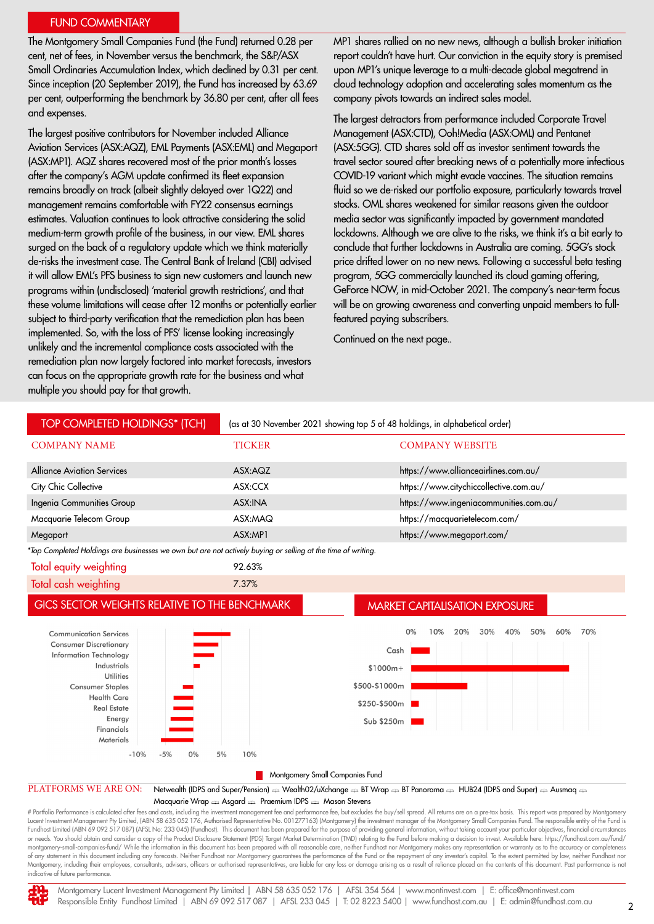#### FUND COMMENTARY

The Montgomery Small Companies Fund (the Fund) returned 0.28 per cent, net of fees, in November versus the benchmark, the S&P/ASX Small Ordinaries Accumulation Index, which declined by 0.31 per cent. Since inception (20 September 2019), the Fund has increased by 63.69 per cent, outperforming the benchmark by 36.80 per cent, after all fees and expenses.

The largest positive contributors for November included Alliance Aviation Services (ASX:AQZ), EML Payments (ASX:EML) and Megaport (ASX:MP1). AQZ shares recovered most of the prior month's losses after the company's AGM update confirmed its fleet expansion remains broadly on track (albeit slightly delayed over 1Q22) and management remains comfortable with FY22 consensus earnings estimates. Valuation continues to look attractive considering the solid medium-term growth profile of the business, in our view. EML shares surged on the back of a regulatory update which we think materially de-risks the investment case. The Central Bank of Ireland (CBI) advised it will allow EML's PFS business to sign new customers and launch new programs within (undisclosed) 'material growth restrictions', and that these volume limitations will cease after 12 months or potentially earlier subject to third-party verification that the remediation plan has been implemented. So, with the loss of PFS' license looking increasingly unlikely and the incremental compliance costs associated with the remediation plan now largely factored into market forecasts, investors can focus on the appropriate growth rate for the business and what multiple you should pay for that growth.

MP1 shares rallied on no new news, although a bullish broker initiation report couldn't have hurt. Our conviction in the equity story is premised upon MP1's unique leverage to a multi-decade global megatrend in cloud technology adoption and accelerating sales momentum as the company pivots towards an indirect sales model.

The largest detractors from performance included Corporate Travel Management (ASX:CTD), Ooh!Media (ASX:OML) and Pentanet (ASX:5GG). CTD shares sold off as investor sentiment towards the travel sector soured after breaking news of a potentially more infectious COVID-19 variant which might evade vaccines. The situation remains fluid so we de-risked our portfolio exposure, particularly towards travel stocks. OML shares weakened for similar reasons given the outdoor media sector was significantly impacted by government mandated lockdowns. Although we are alive to the risks, we think it's a bit early to conclude that further lockdowns in Australia are coming. 5GG's stock price drifted lower on no new news. Following a successful beta testing program, 5GG commercially launched its cloud gaming offering, GeForce NOW, in mid-October 2021. The company's near-term focus will be on growing awareness and converting unpaid members to fullfeatured paying subscribers.

Continued on the next page..



Lucent Investment Management Pty Limited, (ABN 58 635 052 176, Authorised Representative No. 001277163) (Montgomery) the investment manager of the Montgomery Small Companies Fund. The responsible entity of the Fund is<br>Fund or needs. You should obtain and consider a copy of the Product Disclosure Statement (PDS) Target Market Determination (TMD) relating to the Fund before making a decision to invest. Available here: https://fundhost.com.au/f montgomery-small-companies-fund/ While the information in this document has been prepared with all reasonable care, neither Fundhost nor Montgomery makes any representation or warranty as to the accuracy or completeness of any statement in this document including any forecasts. Neither Fundhost nor Montgomery guarantees the performance of the Fund or the repayment of any investor's capital. To the extent permitted by law, neither Fundhost Montgomery, including their employees, consultants, advisers, officers or authorised representatives, are liable for any loss or damage arising as a result of reliance placed on the contents of this document. Past performa indicative of future performance